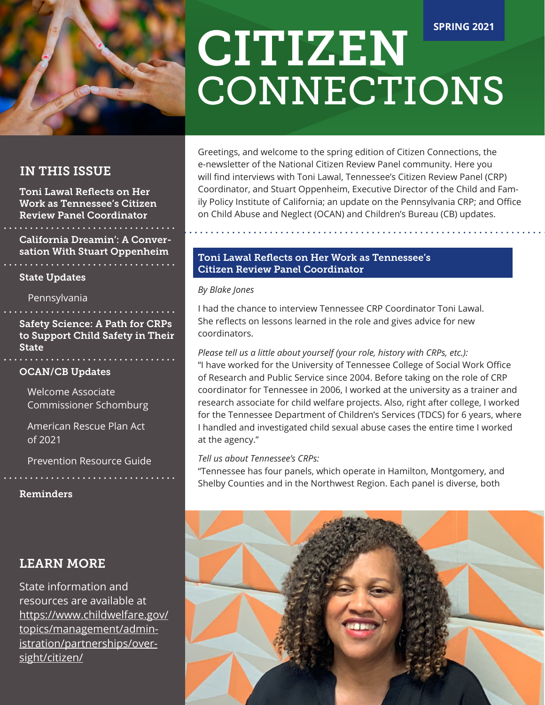

# IN THIS ISSUE

Toni Lawal Reflects on Her Work as Tennessee's Citizen Review Panel Coordinator

California Dreamin': A Conversation With Stuart Oppenheim

# State Updates

Pennsylvania

Safety Science: A Path for CRPs to Support Child Safety in Their **State** 

# OCAN/CB Updates

Welcome Associate Commissioner Schomburg

American Rescue Plan Act of 2021

Prevention Resource Guide

Reminders

# LEARN MORE

State information and resources are available at https://www.childwelfare.gov/ topics/management/administration/partnerships/oversight/citizen/

# CITIZEN **CONNECTIONS SPRING 2021**

Greetings, and welcome to the spring edition of Citizen Connections, the e-newsletter of the National Citizen Review Panel community. Here you will find interviews with Toni Lawal, Tennessee's Citizen Review Panel (CRP) Coordinator, and Stuart Oppenheim, Executive Director of the Child and Family Policy Institute of California; an update on the Pennsylvania CRP; and Office on Child Abuse and Neglect (OCAN) and Children's Bureau (CB) updates.

# Toni Lawal Reflects on Her Work as Tennessee's Citizen Review Panel Coordinator

*By Blake Jones*

I had the chance to interview Tennessee CRP Coordinator Toni Lawal. She reflects on lessons learned in the role and gives advice for new coordinators.

# *Please tell us a little about yourself (your role, history with CRPs, etc.):* "I have worked for the University of Tennessee College of Social Work Office of Research and Public Service since 2004. Before taking on the role of CRP coordinator for Tennessee in 2006, I worked at the university as a trainer and research associate for child welfare projects. Also, right after college, I worked for the Tennessee Department of Children's Services (TDCS) for 6 years, where I handled and investigated child sexual abuse cases the entire time I worked at the agency."

# *Tell us about Tennessee's CRPs:*

"Tennessee has four panels, which operate in Hamilton, Montgomery, and Shelby Counties and in the Northwest Region. Each panel is diverse, both

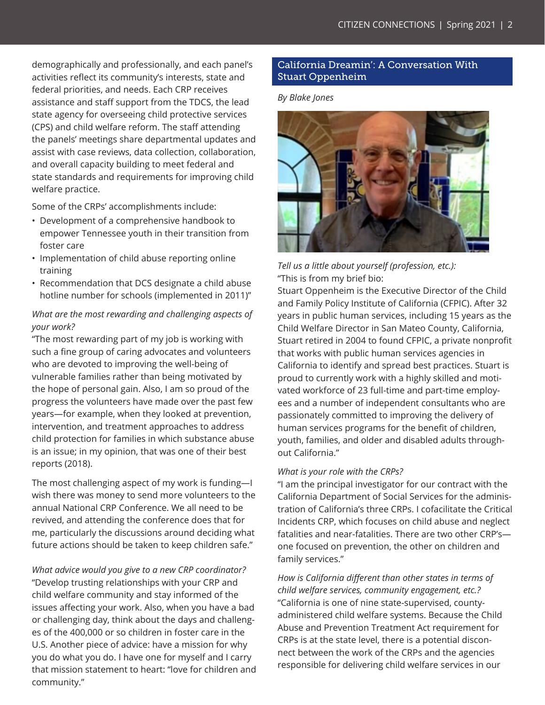demographically and professionally, and each panel's activities reflect its community's interests, state and federal priorities, and needs. Each CRP receives assistance and staff support from the TDCS, the lead state agency for overseeing child protective services (CPS) and child welfare reform. The staff attending the panels' meetings share departmental updates and assist with case reviews, data collection, collaboration, and overall capacity building to meet federal and state standards and requirements for improving child welfare practice.

Some of the CRPs' accomplishments include:

- Development of a comprehensive handbook to empower Tennessee youth in their transition from foster care
- Implementation of child abuse reporting online training
- Recommendation that DCS designate a child abuse hotline number for schools (implemented in 2011)"

# *What are the most rewarding and challenging aspects of your work?*

"The most rewarding part of my job is working with such a fine group of caring advocates and volunteers who are devoted to improving the well-being of vulnerable families rather than being motivated by the hope of personal gain. Also, I am so proud of the progress the volunteers have made over the past few years—for example, when they looked at prevention, intervention, and treatment approaches to address child protection for families in which substance abuse is an issue; in my opinion, that was one of their best reports (2018).

The most challenging aspect of my work is funding—I wish there was money to send more volunteers to the annual National CRP Conference. We all need to be revived, and attending the conference does that for me, particularly the discussions around deciding what future actions should be taken to keep children safe."

*What advice would you give to a new CRP coordinator?* "Develop trusting relationships with your CRP and child welfare community and stay informed of the issues affecting your work. Also, when you have a bad or challenging day, think about the days and challenges of the 400,000 or so children in foster care in the U.S. Another piece of advice: have a mission for why you do what you do. I have one for myself and I carry that mission statement to heart: "love for children and community."

# California Dreamin': A Conversation With Stuart Oppenheim

#### *By Blake Jones*



*Tell us a little about yourself (profession, etc.):* "This is from my brief bio:

Stuart Oppenheim is the Executive Director of the Child and Family Policy Institute of California (CFPIC). After 32 years in public human services, including 15 years as the Child Welfare Director in San Mateo County, California, Stuart retired in 2004 to found CFPIC, a private nonprofit that works with public human services agencies in California to identify and spread best practices. Stuart is proud to currently work with a highly skilled and motivated workforce of 23 full-time and part-time employees and a number of independent consultants who are passionately committed to improving the delivery of human services programs for the benefit of children, youth, families, and older and disabled adults throughout California."

#### *What is your role with the CRPs?*

"I am the principal investigator for our contract with the California Department of Social Services for the administration of California's three CRPs. I cofacilitate the Critical Incidents CRP, which focuses on child abuse and neglect fatalities and near-fatalities. There are two other CRP's one focused on prevention, the other on children and family services."

*How is California different than other states in terms of child welfare services, community engagement, etc.?* "California is one of nine state-supervised, countyadministered child welfare systems. Because the Child Abuse and Prevention Treatment Act requirement for CRPs is at the state level, there is a potential disconnect between the work of the CRPs and the agencies responsible for delivering child welfare services in our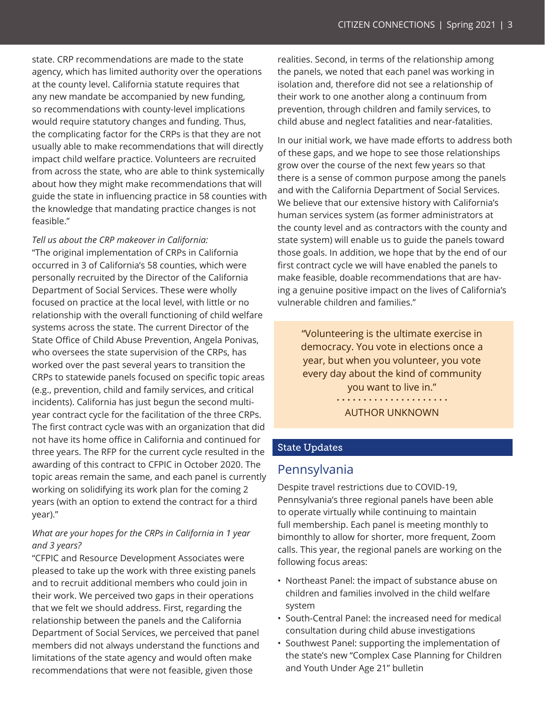state. CRP recommendations are made to the state agency, which has limited authority over the operations at the county level. California statute requires that any new mandate be accompanied by new funding, so recommendations with county-level implications would require statutory changes and funding. Thus, the complicating factor for the CRPs is that they are not usually able to make recommendations that will directly impact child welfare practice. Volunteers are recruited from across the state, who are able to think systemically about how they might make recommendations that will guide the state in influencing practice in 58 counties with the knowledge that mandating practice changes is not feasible."

*Tell us about the CRP makeover in California:*

"The original implementation of CRPs in California occurred in 3 of California's 58 counties, which were personally recruited by the Director of the California Department of Social Services. These were wholly focused on practice at the local level, with little or no relationship with the overall functioning of child welfare systems across the state. The current Director of the State Office of Child Abuse Prevention, Angela Ponivas, who oversees the state supervision of the CRPs, has worked over the past several years to transition the CRPs to statewide panels focused on specific topic areas (e.g., prevention, child and family services, and critical incidents). California has just begun the second multiyear contract cycle for the facilitation of the three CRPs. The first contract cycle was with an organization that did not have its home office in California and continued for three years. The RFP for the current cycle resulted in the awarding of this contract to CFPIC in October 2020. The topic areas remain the same, and each panel is currently working on solidifying its work plan for the coming 2 years (with an option to extend the contract for a third year)."

# *What are your hopes for the CRPs in California in 1 year and 3 years?*

"CFPIC and Resource Development Associates were pleased to take up the work with three existing panels and to recruit additional members who could join in their work. We perceived two gaps in their operations that we felt we should address. First, regarding the relationship between the panels and the California Department of Social Services, we perceived that panel members did not always understand the functions and limitations of the state agency and would often make recommendations that were not feasible, given those

realities. Second, in terms of the relationship among the panels, we noted that each panel was working in isolation and, therefore did not see a relationship of their work to one another along a continuum from prevention, through children and family services, to child abuse and neglect fatalities and near-fatalities.

In our initial work, we have made efforts to address both of these gaps, and we hope to see those relationships grow over the course of the next few years so that there is a sense of common purpose among the panels and with the California Department of Social Services. We believe that our extensive history with California's human services system (as former administrators at the county level and as contractors with the county and state system) will enable us to guide the panels toward those goals. In addition, we hope that by the end of our first contract cycle we will have enabled the panels to make feasible, doable recommendations that are having a genuine positive impact on the lives of California's vulnerable children and families."

> "Volunteering is the ultimate exercise in democracy. You vote in elections once a year, but when you volunteer, you vote every day about the kind of community you want to live in."

> > AUTHOR UNKNOWN

# State Updates

# Pennsylvania

Despite travel restrictions due to COVID-19, Pennsylvania's three regional panels have been able to operate virtually while continuing to maintain full membership. Each panel is meeting monthly to bimonthly to allow for shorter, more frequent, Zoom calls. This year, the regional panels are working on the following focus areas:

- Northeast Panel: the impact of substance abuse on children and families involved in the child welfare system
- South-Central Panel: the increased need for medical consultation during child abuse investigations
- Southwest Panel: supporting the implementation of the state's new "Complex Case Planning for Children and Youth Under Age 21" bulletin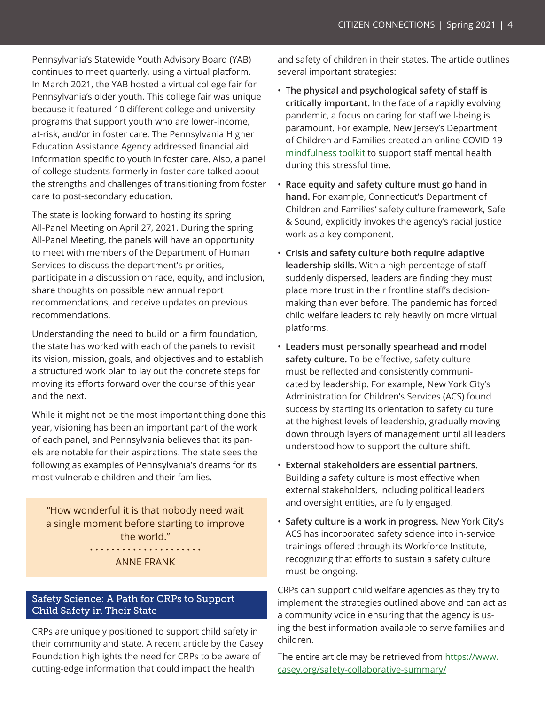Pennsylvania's Statewide Youth Advisory Board (YAB) continues to meet quarterly, using a virtual platform. In March 2021, the YAB hosted a virtual college fair for Pennsylvania's older youth. This college fair was unique because it featured 10 different college and university programs that support youth who are lower-income, at-risk, and/or in foster care. The Pennsylvania Higher Education Assistance Agency addressed financial aid information specific to youth in foster care. Also, a panel of college students formerly in foster care talked about the strengths and challenges of transitioning from foster care to post-secondary education.

The state is looking forward to hosting its spring All-Panel Meeting on April 27, 2021. During the spring All-Panel Meeting, the panels will have an opportunity to meet with members of the Department of Human Services to discuss the department's priorities, participate in a discussion on race, equity, and inclusion, share thoughts on possible new annual report recommendations, and receive updates on previous recommendations.

Understanding the need to build on a firm foundation, the state has worked with each of the panels to revisit its vision, mission, goals, and objectives and to establish a structured work plan to lay out the concrete steps for moving its efforts forward over the course of this year and the next.

While it might not be the most important thing done this year, visioning has been an important part of the work of each panel, and Pennsylvania believes that its panels are notable for their aspirations. The state sees the following as examples of Pennsylvania's dreams for its most vulnerable children and their families.

"How wonderful it is that nobody need wait a single moment before starting to improve the world." 

ANNE FRANK

# Safety Science: A Path for CRPs to Support Child Safety in Their State

CRPs are uniquely positioned to support child safety in their community and state. A recent article by the Casey Foundation highlights the need for CRPs to be aware of cutting-edge information that could impact the health

and safety of children in their states. The article outlines several important strategies:

- **The physical and psychological safety of staff is critically important.** In the face of a rapidly evolving pandemic, a focus on caring for staff well-being is paramount. For example, New Jersey's Department of Children and Families created an online COVID-19 [mindfulness toolkit](https://www.nj.gov/dcf/mindfulness.html) to support staff mental health during this stressful time.
- **Race equity and safety culture must go hand in hand.** For example, Connecticut's Department of Children and Families' safety culture framework, Safe & Sound, explicitly invokes the agency's racial justice work as a key component.
- **Crisis and safety culture both require adaptive leadership skills.** With a high percentage of staff suddenly dispersed, leaders are finding they must place more trust in their frontline staff's decisionmaking than ever before. The pandemic has forced child welfare leaders to rely heavily on more virtual platforms.
- **Leaders must personally spearhead and model safety culture.** To be effective, safety culture must be reflected and consistently communicated by leadership. For example, New York City's Administration for Children's Services (ACS) found success by starting its orientation to safety culture at the highest levels of leadership, gradually moving down through layers of management until all leaders understood how to support the culture shift.
- **External stakeholders are essential partners.** Building a safety culture is most effective when external stakeholders, including political leaders and oversight entities, are fully engaged.
- **Safety culture is a work in progress.** New York City's ACS has incorporated safety science into in-service trainings offered through its Workforce Institute, recognizing that efforts to sustain a safety culture must be ongoing.

CRPs can support child welfare agencies as they try to implement the strategies outlined above and can act as a community voice in ensuring that the agency is using the best information available to serve families and children.

The entire article may be retrieved from [https://www.](https://www.casey.org/safety-collaborative-summary/) [casey.org/safety-collaborative-summary/](https://www.casey.org/safety-collaborative-summary/)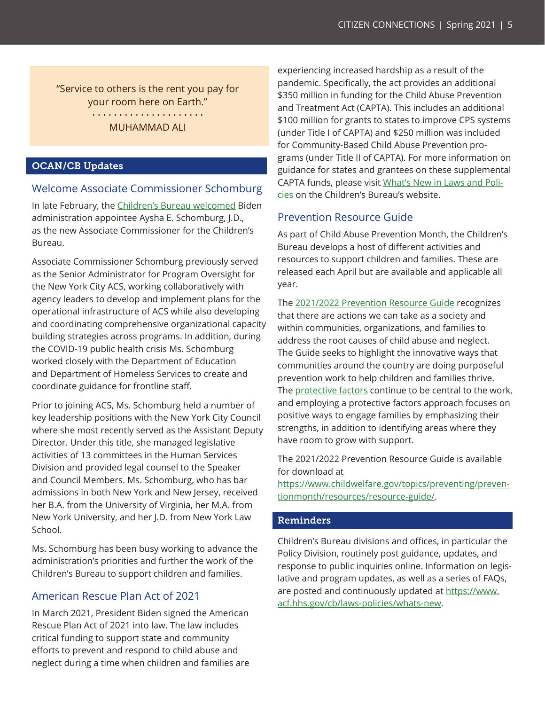"Service to others is the rent you pay for your room here on Earth." MUHAMMAD ALI

#### OCAN/CB Updates

#### Welcome Associate Commissioner Schomburg

In late February, the [Children's Bureau welcomed](https://www.acf.hhs.gov/cb/news/welcomes-new-associate-commissioner) Biden administration appointee Aysha E. Schomburg, J.D., as the new Associate Commissioner for the Children's Bureau.

Associate Commissioner Schomburg previously served as the Senior Administrator for Program Oversight for the New York City ACS, working collaboratively with agency leaders to develop and implement plans for the operational infrastructure of ACS while also developing and coordinating comprehensive organizational capacity building strategies across programs. In addition, during the COVID-19 public health crisis Ms. Schomburg worked closely with the Department of Education and Department of Homeless Services to create and coordinate guidance for frontline staff.

Prior to joining ACS, Ms. Schomburg held a number of key leadership positions with the New York City Council where she most recently served as the Assistant Deputy Director. Under this title, she managed legislative activities of 13 committees in the Human Services Division and provided legal counsel to the Speaker and Council Members. Ms. Schomburg, who has bar admissions in both New York and New Jersey, received her B.A. from the University of Virginia, her M.A. from New York University, and her J.D. from New York Law School.

Ms. Schomburg has been busy working to advance the administration's priorities and further the work of the Children's Bureau to support children and families.

#### American Rescue Plan Act of 2021

In March 2021, President Biden signed the American Rescue Plan Act of 2021 into law. The law includes critical funding to support state and community efforts to prevent and respond to child abuse and neglect during a time when children and families are

experiencing increased hardship as a result of the pandemic. Specifically, the act provides an additional \$350 million in funding for the Child Abuse Prevention and Treatment Act (CAPTA). This includes an additional \$100 million for grants to states to improve CPS systems (under Title I of CAPTA) and \$250 million was included for Community-Based Child Abuse Prevention programs (under Title II of CAPTA). For more information on guidance for states and grantees on these supplemental CAPTA funds, please visit [What's New in Laws and Poli](https://www.acf.hhs.gov/cb/laws-policies/whats-new)[cies](https://www.acf.hhs.gov/cb/laws-policies/whats-new) on the Children's Bureau's website.

### Prevention Resource Guide

As part of Child Abuse Prevention Month, the Children's Bureau develops a host of different activities and resources to support children and families. These are released each April but are available and applicable all year.

The [2021/2022 Prevention Resource Guide](https://www.childwelfare.gov/topics/preventing/preventionmonth/resources/resource-guide/) recognizes that there are actions we can take as a society and within communities, organizations, and families to address the root causes of child abuse and neglect. The Guide seeks to highlight the innovative ways that communities around the country are doing purposeful prevention work to help children and families thrive. The [protective factors](https://www.childwelfare.gov/topics/preventing/preventionmonth/about/protective-factors-aces/) continue to be central to the work, and employing a protective factors approach focuses on positive ways to engage families by emphasizing their strengths, in addition to identifying areas where they have room to grow with support.

The 2021/2022 Prevention Resource Guide is available for download at

[https://www.childwelfare.gov/topics/preventing/preven](https://www.childwelfare.gov/topics/preventing/preventionmonth/resources/resource-guide/)[tionmonth/resources/resource-guide/](https://www.childwelfare.gov/topics/preventing/preventionmonth/resources/resource-guide/).

#### Reminders

Children's Bureau divisions and offices, in particular the Policy Division, routinely post guidance, updates, and response to public inquiries online. Information on legislative and program updates, as well as a series of FAQs, are posted and continuously updated at [https://www.](https://www.acf.hhs.gov/cb/laws-policies/whats-new) [acf.hhs.gov/cb/laws-policies/whats-new.](https://www.acf.hhs.gov/cb/laws-policies/whats-new)